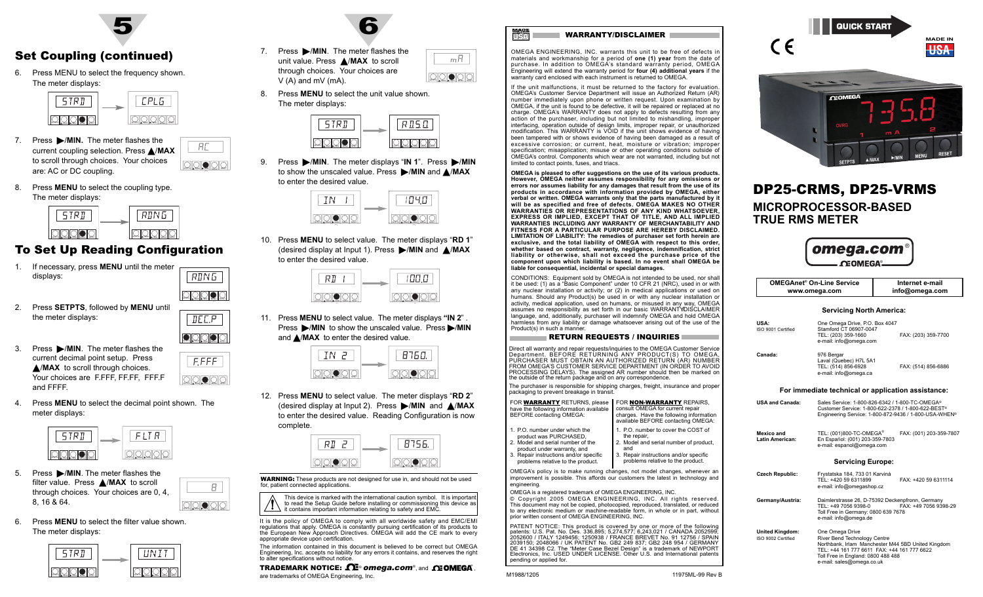

# Set Coupling (continued)

6. Press MENU to select the frequency shown. The meter displays:



- 7. Press MIN. The meter flashes the current coupling selection. Press /**MAX** to scroll through choices. Your choices ololololo are: AC or DC coupling.
- 8. Press **MENU** to select the coupling type. The meter displays:



# To Set Up Reading Configuration

 $MIN$   $MIN$   $MIN$   $RIS1$ N<sub>I</sub> MD<sub>U</sub>

 $<sub>IEE.P</sub>$ </sub>

RDN5

 /MAX - MENURESET

 $\frac{1}{2}$   $\frac{1}{2}$   $\frac{1}{2}$   $\frac{1}{2}$   $\frac{1}{2}$   $\frac{1}{2}$   $\frac{1}{2}$   $\frac{1}{2}$   $\frac{1}{2}$   $\frac{1}{2}$   $\frac{1}{2}$   $\frac{1}{2}$   $\frac{1}{2}$   $\frac{1}{2}$   $\frac{1}{2}$   $\frac{1}{2}$   $\frac{1}{2}$   $\frac{1}{2}$   $\frac{1}{2}$   $\frac{1}{2}$   $\frac{1}{2}$   $\frac{1}{2}$ 

 $E$ FFFF

SETPTS | A/MAX - MIN | MINU | RESET

 $\frac{1}{2}$   $\frac{1}{2}$   $\frac{1}{2}$   $\frac{1}{2}$   $\frac{1}{2}$   $\frac{1}{2}$   $\frac{1}{2}$   $\frac{1}{2}$   $\frac{1}{2}$   $\frac{1}{2}$   $\frac{1}{2}$   $\frac{1}{2}$   $\frac{1}{2}$   $\frac{1}{2}$   $\frac{1}{2}$   $\frac{1}{2}$   $\frac{1}{2}$   $\frac{1}{2}$   $\frac{1}{2}$   $\frac{1}{2}$   $\frac{1}{2}$   $\frac{1}{2}$ 

Я.

- 1. If necessary, press **MENU** until the meter displays:
- 2. Press **SETPTS**, followed by **MENU** until the meter displays:



4. Press **MENU** to select the decimal point shown. The meter displays:



- 5. Press **>/MIN**. The meter flashes the filter value. Press **△/MAX** to scroll through choices. Your choices are 0, 4, 8, 16 & 64.
- 6. Press **MENU** to select the filter value shown. The meter displays:





- 7. Press  $\blacktriangleright$ /**MIN**. The meter flashes the  $mH$ unit value. Press ▲/**MAX** to scroll through choices. Your choices are V (A) and mV (mA). SETPTS A /MAX - S/MIN H MENU | RESET
- 8. Press **MENU** to select the unit value shown. The meter displays:



9. Press MIN. The meter displays "IN 1". Press MIN to show the unscaled value. Press -/**MIN** and /**MAX** to enter the desired value.



10. Press **MENU** to select value. The meter displays "**RD 1**" (desired display at Input 1). Press ▶/MIN and ▲/MAX to enter the desired value.

| ∽ |  |
|---|--|

11. Press **MENU** to select value. The meter displays **"IN 2**" . Press  $\blacktriangleright$ /MIN to show the unscaled value. Press  $\blacktriangleright$ /MIN and **△/MAX** to enter the desired value.



12. Press **MENU** to select value. The meter displays "**RD 2**" (desired display at Input 2). Press -/**MIN** and /**MAX** to enter the desired value. Reading Configuration is now complete.



**WARNING:** These products are not designed for use in, and should not be used for, patient connected applications.

This device is marked with the international caution symbol. It is importan to read the Setup Guide before installing or commissioning this device as it contains important information relating to safety and EMC.

It is the policy of OMEGA to comply with all worldwide safety and EMC/EMI regulations that apply. OMEGA is constantly pursuing certification of its products to the European New Approach Directives. OMEGA will add the CE mark to every appropriate device upon certification. The information contained in this document is believed to be correct but OMEGA

#### Engineering, Inc. accepts no liability for any errors it contains, and reserves the right to alter specifications without notice. TRADEMARK NOTICE:  $\bm{\Omega}$  omega.com®, and  $\bm{\Omega}$  omega.

are trademarks of OMEGA Engineering, Inc.



OMEGA ENGINEERING, INC. warrants this unit to be free of defects in materials and workmanship for a period of **one (1) year** from the date of purchase. In addition to OMEGA's standard warranty period, OMEGA Engineering will extend the warranty period for **four (4) additional years** if the warranty card enclosed with each instrument is returned to OMEGA.

If the unit malfunctions, it must be returned to the factory for evaluation OMEGA's Customer Service Department will issue an Authorized Return (AR) number immediately upon phone or written request. Upon examination by OMEGA, if the unit is found to be defective, it will be repaired or replaced at no charge. OMEGA's WARRANTY does not apply to defects resulting from any action of the purchaser, including but not limited to mishandling, improper interfacing, operation outside of design limits, improper repair, or unauthorized modification. This WARRANTY is VOID if the unit shows evidence of having been tampered with or shows evidence of having been damaged as a result of excessive corrosion; or current, heat, moisture or vibration; improper specification; misapplication; misuse or other operating conditions outside of OMEGA's control. Components which wear are not warranted, including but not limited to contact points, fuses, and triacs.

**OMEGA is pleased to offer suggestions on the use of its various products. However, OMEGA neither assumes responsibility for any omissions or errors nor assumes liability for any damages that result from the use of its products in accordance with information provided by OMEGA, either verbal or written. OMEGA warrants only that the parts manufactured by it will be as specified and free of defects. OMEGA MAKES NO OTHER WARRANTIES OR REPRESENTATIONS OF ANY KIND WHATSOEVER, EXPRESS OR IMPLIED, EXCEPT THAT OF TITLE, AND ALL IMPLIED WARRANTIES INCLUDING ANY WARRANTY OF MERCHANTABILITY AND FITNESS FOR A PARTICULAR PURPOSE ARE HEREBY DISCLAIMED. LIMITATION OF LIABILITY: The remedies of purchaser set forth herein are exclusive, and the total liability of OMEGA with respect to this order, whether based on contract, warranty, negligence, indemnification, strict liability or otherwise, shall not exceed the purchase price of the component upon which liability is based. In no event shall OMEGA be liable for consequential, incidental or special damages.**

CONDITIONS: Equipment sold by OMEGA is not intended to be used, nor shall it be used: (1) as a "Basic Component" under 10 CFR 21 (NRC), used in or with any nuclear installation or activity; or (2) in medical applications or used on humans. Should any Product(s) be used in or with any nuclear installation or activity, medical application, used on humans, or misused in any way, OMEGA assumes no responsibility as set forth in our basic WARRANTY/DISCLAIMER language, and, additionally, purchaser will indemnify OMEGA and hold OMEGA harmless from any liability or damage whatsoever arising out of the use of the Product(s) in such a manner.

### RETURN REQUESTS / INQUIRIES

Direct all warranty and repair requests/inquiries to the OMEGA Customer Service Department. BEFORE RETURNING ANY PRODUCT(S) TO OMEGA, PURCHASER MUST OBTAIN AN AUTHORIZED RETURN (AR) NUMBER FROM OMEGA'S CUSTOMER SERVICE DEPARTMENT (IN ORDER TO AVOID PROCESSING DELAYS). The assigned AR number should then be marked on the outside of the return package and on any correspondence.

The purchaser is responsible for shipping charges, freight, insurance and proper packaging to prevent breakage in transit.

| FOR WARRANTY RETURNS, please<br>have the following information available<br>BEFORE contacting OMEGA:                                                                                                        | FOR NON-WARRANTY REPAIRS.<br>consult OMEGA for current repair<br>charges. Have the following information<br>available BEFORE contacting OMEGA:                                     |
|-------------------------------------------------------------------------------------------------------------------------------------------------------------------------------------------------------------|------------------------------------------------------------------------------------------------------------------------------------------------------------------------------------|
| 1. P.O. number under which the<br>product was PURCHASED.<br>2. Model and serial number of the<br>product under warranty, and<br>3. Repair instructions and/or specific<br>problems relative to the product. | 1. P.O. number to cover the COST of<br>the repair,<br>2. Model and serial number of product,<br>and<br>3. Repair instructions and/or specific<br>problems relative to the product. |
|                                                                                                                                                                                                             | OMEGA's policy is to make running changes, not model changes, whenever an                                                                                                          |

improvement is possible. This affords our customers the latest in technology and engineering.

OMEGA is a registered trademark of OMEGA ENGINEERING, INC. © Copyright 2005 OMEGA ENGINEERING, INC. All rights reserved.

This document may not be copied, photocopied, reproduced, translated, or reduced to any electronic medium or machine-readable form, in whole or in part, without prior written consent of OMEGA ENGINEERING, INC.

PATENT NOTICE: This product is covered by one or more of the following patents: U.S. Pat. No. Des. 336,895; 5,274,577; 6,243,021 / CANADA 2052599; 2052600 / ITALY 1249456; 1250938 / FRANCE BREVET No. 91 12756 / SPAIN 2039150; 2048066 / UK PATENT No. GB2 249 837; GB2 248 954 / GERMANY DE 41 34398 C2. The "Meter Case Bezel Design" is a trademark of NEWPORT Electronics, Inc. USED UNDER LICENSE. Other U.S. and International patents pending or applied for.





# DP25-CRMS, DP25-VRMS **MICROPROCESSOR-BASEDTRUE RMS METER**

**OMEGAnet® On-Line Servicewww.omega.com**

| omega.com <sup>®</sup> |  |
|------------------------|--|
| <b>CEOMEGA®</b>        |  |

**Internet e-mailinfo@omega.com**

### **Servicing North America:**

| USA:<br>ISO 9001 Certified | One Omega Drive, P.O. Box 4047<br>Stamford CT 06907-0047<br>TEL: (203) 359-1660<br>e-mail: info@omega.com | FAX: (203) 359-7700 |
|----------------------------|-----------------------------------------------------------------------------------------------------------|---------------------|
| Canada:                    | 976 Bergar<br>Laval (Quebec) H7L 5A1<br>TEL: (514) 856-6928<br>e-mail: info@omega.ca                      | FAX: (514) 856-6886 |
|                            | For immediate technical or application assistance:                                                        |                     |
| USA and Canada:            | Sales Service: 1-800-826-6342 / 1-800-TC-OMEGA®                                                           |                     |

| usa ang Canaga:               | Sales Service. T-600-626-6342 / T-600-TC-010EGA-<br>Customer Service: 1-800-622-2378 / 1-800-622-BEST®<br>Engineering Service: 1-800-872-9436 / 1-800-USA-WHEN <sup>®</sup> |                         |  |  |
|-------------------------------|-----------------------------------------------------------------------------------------------------------------------------------------------------------------------------|-------------------------|--|--|
| Mexico and<br>Latin American: | TEL: (001)800-TC-OMEGA <sup>®</sup><br>En Español: (001) 203-359-7803<br>e-mail: espanol@omega.com                                                                          | FAX: (001) 203-359-7807 |  |  |

#### **Servicing Europe:**

- Czech Republic: Frystatska 184, 733 01 Karviná TEL: +420 59 6311899<br>TEL: +420 59 6311899 e-mail: info@omegashop.cz
- **Germany/Austria:**<sup>I</sup> Daimlerstrasse 26, D-75392 Deckenpfronn, Germany II TEL: +49 7056 9398-0II FAX: +49 7056 9398-29II Toll Free in Germany: 0800 639 7678 e-mail: info@omega.de
- **United Kingdom:**<br>ISO 9002 Certified<br>I River Bend Techno **River Bend Technology Centre** II Northbank, Irlam Manchester M44 5BD United Kingdom TEL: +44 161 777 6611 FAX: +44 161 777 6622 Toll Free in England: 0800 488 488 e-mail: sales@omega.co.uk

M1988/1205 11975ML-99 Rev B